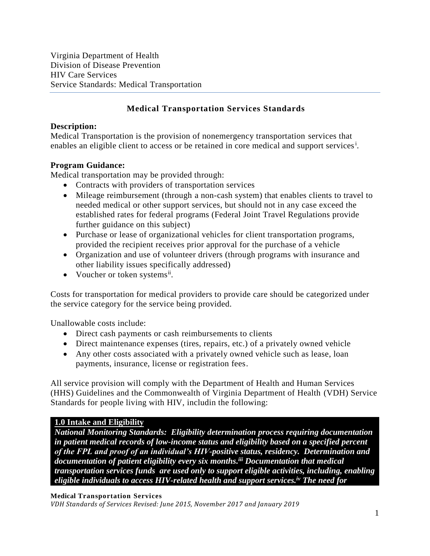Virginia Department of Health Division of Disease Prevention HIV Care Services Service Standards: Medical Transportation

## **Medical Transportation Services Standards**

## **Description:**

Medical Transportation is the provision of nonemergency transportation services that enables an eligible client to access or be retained in core medical and support services<sup>1</sup>.

### **Program Guidance:**

Medical transportation may be provided through:

- Contracts with providers of transportation services
- Mileage reimbursement (through a non-cash system) that enables clients to travel to needed medical or other support services, but should not in any case exceed the established rates for federal programs (Federal Joint Travel Regulations provide further guidance on this subject)
- Purchase or lease of organizational vehicles for client transportation programs, provided the recipient receives prior approval for the purchase of a vehicle
- Organization and use of volunteer drivers (through programs with insurance and other liability issues specifically addressed)
- Voucher or token systems<sup>ii</sup>.

Costs for transportation for medical providers to provide care should be categorized under the service category for the service being provided.

Unallowable costs include:

- Direct cash payments or cash reimbursements to clients
- Direct maintenance expenses (tires, repairs, etc.) of a privately owned vehicle
- Any other costs associated with a privately owned vehicle such as lease, loan payments, insurance, license or registration fees.

All service provision will comply with the Department of Health and Human Services (HHS) Guidelines and the Commonwealth of Virginia Department of Health (VDH) Service Standards for people living with HIV, includin the following:

## **1.0 Intake and Eligibility**

*National Monitoring Standards: Eligibility determination process requiring documentation in patient medical records of low-income status and eligibility based on a specified percent of the FPL and proof of an individual's HIV-positive status, residency. Determination and documentation of patient eligibility every six months. iii Documentation that medical transportation services funds are used only to support eligible activities, including, enabling eligible individuals to access HIV-related health and support services.iv The need for* 

#### **Medical Transportation Services**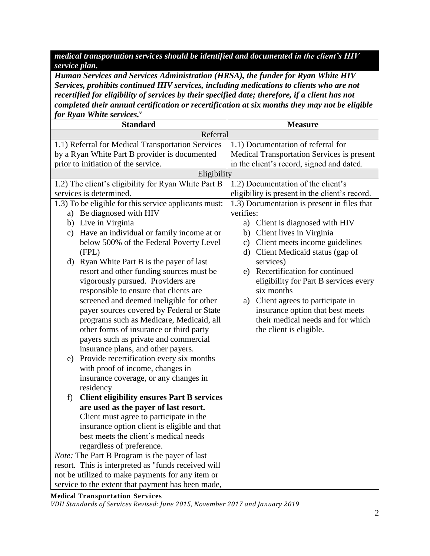*medical transportation services should be identified and documented in the client's HIV service plan.*

*Human Services and Services Administration (HRSA), the funder for Ryan White HIV Services, prohibits continued HIV services, including medications to clients who are not recertified for eligibility of services by their specified date; therefore, if a client has not completed their annual certification or recertification at six months they may not be eligible for Ryan White services.<sup>v</sup>*

| <b>Standard</b>                                      |                                                         | <b>Measure</b>                                    |
|------------------------------------------------------|---------------------------------------------------------|---------------------------------------------------|
| Referral                                             |                                                         |                                                   |
|                                                      | 1.1) Referral for Medical Transportation Services       | 1.1) Documentation of referral for                |
|                                                      | by a Ryan White Part B provider is documented           | <b>Medical Transportation Services is present</b> |
|                                                      | prior to initiation of the service.                     | in the client's record, signed and dated.         |
|                                                      | Eligibility                                             |                                                   |
|                                                      | 1.2) The client's eligibility for Ryan White Part B     | 1.2) Documentation of the client's                |
|                                                      | services is determined.                                 | eligibility is present in the client's record.    |
|                                                      | 1.3) To be eligible for this service applicants must:   | 1.3) Documentation is present in files that       |
|                                                      | a) Be diagnosed with HIV                                | verifies:                                         |
|                                                      | b) Live in Virginia                                     | a) Client is diagnosed with HIV                   |
|                                                      | Have an individual or family income at or<br>c)         | b) Client lives in Virginia                       |
|                                                      | below 500% of the Federal Poverty Level                 | c) Client meets income guidelines                 |
|                                                      | (FPL)                                                   | d) Client Medicaid status (gap of                 |
|                                                      | Ryan White Part B is the payer of last<br>d)            | services)                                         |
|                                                      | resort and other funding sources must be                | e) Recertification for continued                  |
|                                                      | vigorously pursued. Providers are                       | eligibility for Part B services every             |
|                                                      | responsible to ensure that clients are                  | six months                                        |
|                                                      | screened and deemed ineligible for other                | a) Client agrees to participate in                |
|                                                      | payer sources covered by Federal or State               | insurance option that best meets                  |
|                                                      | programs such as Medicare, Medicaid, all                | their medical needs and for which                 |
|                                                      | other forms of insurance or third party                 | the client is eligible.                           |
|                                                      | payers such as private and commercial                   |                                                   |
|                                                      | insurance plans, and other payers.                      |                                                   |
|                                                      | Provide recertification every six months<br>e)          |                                                   |
|                                                      | with proof of income, changes in                        |                                                   |
|                                                      | insurance coverage, or any changes in                   |                                                   |
|                                                      | residency                                               |                                                   |
|                                                      | <b>Client eligibility ensures Part B services</b><br>f) |                                                   |
|                                                      | are used as the payer of last resort.                   |                                                   |
|                                                      | Client must agree to participate in the                 |                                                   |
| insurance option client is eligible and that         |                                                         |                                                   |
| best meets the client's medical needs                |                                                         |                                                   |
| regardless of preference.                            |                                                         |                                                   |
| <i>Note:</i> The Part B Program is the payer of last |                                                         |                                                   |
|                                                      | resort. This is interpreted as "funds received will     |                                                   |
|                                                      | not be utilized to make payments for any item or        |                                                   |
|                                                      | service to the extent that payment has been made,       |                                                   |

**Medical Transportation Services**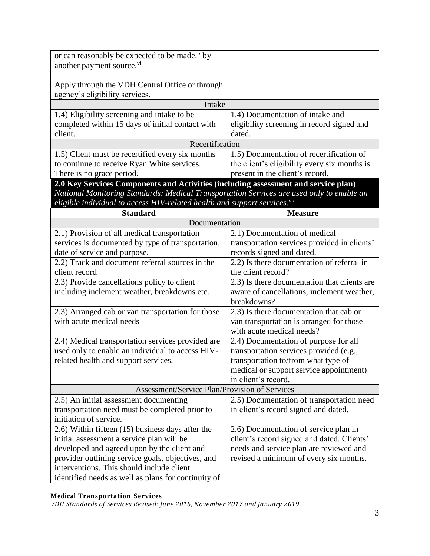| or can reasonably be expected to be made." by                                             |                                              |  |
|-------------------------------------------------------------------------------------------|----------------------------------------------|--|
| another payment source. <sup>vi</sup>                                                     |                                              |  |
|                                                                                           |                                              |  |
| Apply through the VDH Central Office or through                                           |                                              |  |
| agency's eligibility services.                                                            |                                              |  |
| Intake                                                                                    |                                              |  |
| 1.4) Eligibility screening and intake to be                                               | 1.4) Documentation of intake and             |  |
| completed within 15 days of initial contact with                                          | eligibility screening in record signed and   |  |
| client.                                                                                   | dated.                                       |  |
| Recertification                                                                           |                                              |  |
| 1.5) Client must be recertified every six months                                          | 1.5) Documentation of recertification of     |  |
| to continue to receive Ryan White services.                                               | the client's eligibility every six months is |  |
| There is no grace period.                                                                 | present in the client's record.              |  |
| 2.0 Key Services Components and Activities (including assessment and service plan)        |                                              |  |
| National Monitoring Standards: Medical Transportation Services are used only to enable an |                                              |  |
| eligible individual to access HIV-related health and support services. <sup>vii</sup>     |                                              |  |
| <b>Standard</b>                                                                           | <b>Measure</b>                               |  |
| Documentation                                                                             |                                              |  |
| 2.1) Provision of all medical transportation                                              | 2.1) Documentation of medical                |  |
| services is documented by type of transportation,                                         | transportation services provided in clients' |  |
| date of service and purpose.                                                              | records signed and dated.                    |  |
| 2.2) Track and document referral sources in the                                           | 2.2) Is there documentation of referral in   |  |
| client record                                                                             | the client record?                           |  |
| 2.3) Provide cancellations policy to client                                               | 2.3) Is there documentation that clients are |  |
| including inclement weather, breakdowns etc.                                              | aware of cancellations, inclement weather,   |  |
|                                                                                           | breakdowns?                                  |  |
| 2.3) Arranged cab or van transportation for those                                         | 2.3) Is there documentation that cab or      |  |
| with acute medical needs                                                                  | van transportation is arranged for those     |  |
|                                                                                           | with acute medical needs?                    |  |
| 2.4) Medical transportation services provided are                                         | 2.4) Documentation of purpose for all        |  |
| used only to enable an individual to access HIV-                                          | transportation services provided (e.g.,      |  |
| related health and support services.                                                      | transportation to/from what type of          |  |
|                                                                                           | medical or support service appointment)      |  |
|                                                                                           | in client's record.                          |  |
| Assessment/Service Plan/Provision of Services                                             |                                              |  |
| 2.5) An initial assessment documenting                                                    | 2.5) Documentation of transportation need    |  |
| transportation need must be completed prior to                                            | in client's record signed and dated.         |  |
| initiation of service.                                                                    |                                              |  |
| 2.6) Within fifteen (15) business days after the                                          | 2.6) Documentation of service plan in        |  |
| initial assessment a service plan will be                                                 | client's record signed and dated. Clients'   |  |
| developed and agreed upon by the client and                                               | needs and service plan are reviewed and      |  |
| provider outlining service goals, objectives, and                                         | revised a minimum of every six months.       |  |
| interventions. This should include client                                                 |                                              |  |
| identified needs as well as plans for continuity of                                       |                                              |  |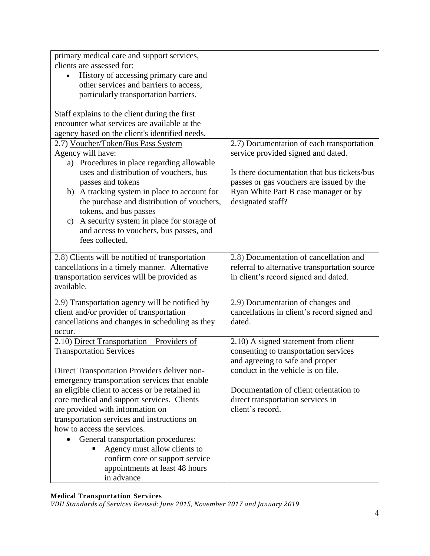| primary medical care and support services,                 |                                               |
|------------------------------------------------------------|-----------------------------------------------|
| clients are assessed for:                                  |                                               |
| History of accessing primary care and                      |                                               |
| other services and barriers to access,                     |                                               |
| particularly transportation barriers.                      |                                               |
|                                                            |                                               |
| Staff explains to the client during the first              |                                               |
| encounter what services are available at the               |                                               |
| agency based on the client's identified needs.             |                                               |
| 2.7) Voucher/Token/Bus Pass System                         | 2.7) Documentation of each transportation     |
| Agency will have:                                          | service provided signed and dated.            |
| a) Procedures in place regarding allowable                 |                                               |
| uses and distribution of vouchers, bus                     | Is there documentation that bus tickets/bus   |
| passes and tokens                                          | passes or gas vouchers are issued by the      |
| b) A tracking system in place to account for               | Ryan White Part B case manager or by          |
| the purchase and distribution of vouchers,                 | designated staff?                             |
| tokens, and bus passes                                     |                                               |
| A security system in place for storage of<br>$\mathbf{c})$ |                                               |
| and access to vouchers, bus passes, and                    |                                               |
| fees collected.                                            |                                               |
|                                                            |                                               |
| 2.8) Clients will be notified of transportation            | 2.8) Documentation of cancellation and        |
| cancellations in a timely manner. Alternative              | referral to alternative transportation source |
| transportation services will be provided as<br>available.  | in client's record signed and dated.          |
|                                                            |                                               |
| 2.9) Transportation agency will be notified by             | 2.9) Documentation of changes and             |
| client and/or provider of transportation                   | cancellations in client's record signed and   |
| cancellations and changes in scheduling as they            | dated.                                        |
| occur.                                                     |                                               |
| 2.10) Direct Transportation - Providers of                 | 2.10) A signed statement from client          |
| <b>Transportation Services</b>                             | consenting to transportation services         |
|                                                            | and agreeing to safe and proper               |
| Direct Transportation Providers deliver non-               | conduct in the vehicle is on file.            |
| emergency transportation services that enable              |                                               |
| an eligible client to access or be retained in             | Documentation of client orientation to        |
| core medical and support services. Clients                 | direct transportation services in             |
| are provided with information on                           | client's record.                              |
| transportation services and instructions on                |                                               |
| how to access the services.                                |                                               |
| General transportation procedures:                         |                                               |
| Agency must allow clients to                               |                                               |
| confirm core or support service                            |                                               |
| appointments at least 48 hours                             |                                               |
| in advance                                                 |                                               |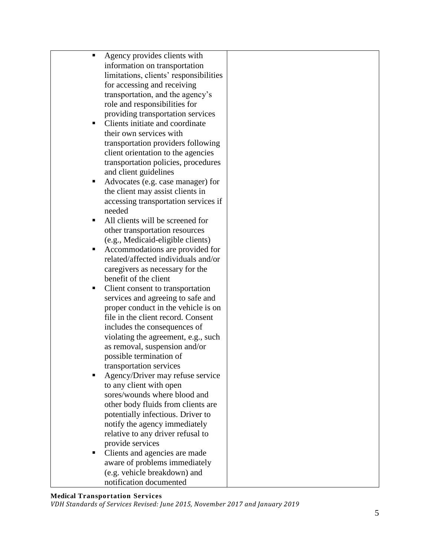|   | Agency provides clients with<br>information on transportation<br>limitations, clients' responsibilities<br>for accessing and receiving |  |
|---|----------------------------------------------------------------------------------------------------------------------------------------|--|
|   | transportation, and the agency's<br>role and responsibilities for                                                                      |  |
| ٠ | providing transportation services<br>Clients initiate and coordinate                                                                   |  |
|   | their own services with                                                                                                                |  |
|   | transportation providers following<br>client orientation to the agencies                                                               |  |
|   | transportation policies, procedures                                                                                                    |  |
|   | and client guidelines                                                                                                                  |  |
| п | Advocates (e.g. case manager) for<br>the client may assist clients in                                                                  |  |
|   | accessing transportation services if                                                                                                   |  |
|   | needed                                                                                                                                 |  |
| п | All clients will be screened for<br>other transportation resources                                                                     |  |
|   | (e.g., Medicaid-eligible clients)                                                                                                      |  |
| ٠ | Accommodations are provided for                                                                                                        |  |
|   | related/affected individuals and/or<br>caregivers as necessary for the                                                                 |  |
|   | benefit of the client                                                                                                                  |  |
| ш | Client consent to transportation                                                                                                       |  |
|   | services and agreeing to safe and<br>proper conduct in the vehicle is on                                                               |  |
|   | file in the client record. Consent                                                                                                     |  |
|   | includes the consequences of                                                                                                           |  |
|   | violating the agreement, e.g., such<br>as removal, suspension and/or                                                                   |  |
|   | possible termination of                                                                                                                |  |
|   | transportation services                                                                                                                |  |
|   | Agency/Driver may refuse service<br>to any client with open                                                                            |  |
|   | sores/wounds where blood and                                                                                                           |  |
|   | other body fluids from clients are                                                                                                     |  |
|   | potentially infectious. Driver to<br>notify the agency immediately                                                                     |  |
|   | relative to any driver refusal to                                                                                                      |  |
|   | provide services                                                                                                                       |  |
| ٠ | Clients and agencies are made<br>aware of problems immediately                                                                         |  |
|   | (e.g. vehicle breakdown) and                                                                                                           |  |
|   | notification documented                                                                                                                |  |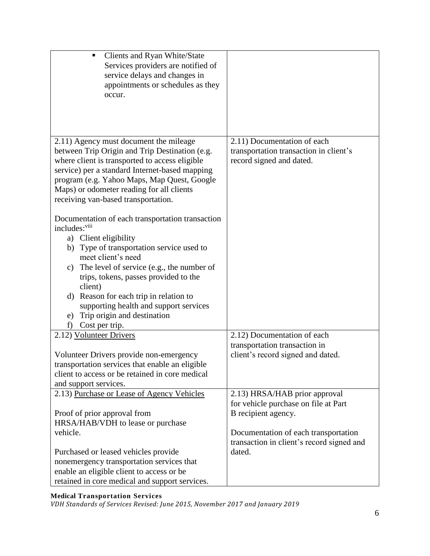| Clients and Ryan White/State<br>٠<br>Services providers are notified of<br>service delays and changes in<br>appointments or schedules as they<br>occur.                                                                                                                                                                                                                                                                                                                                                                                                                                                             |                                                                                                   |
|---------------------------------------------------------------------------------------------------------------------------------------------------------------------------------------------------------------------------------------------------------------------------------------------------------------------------------------------------------------------------------------------------------------------------------------------------------------------------------------------------------------------------------------------------------------------------------------------------------------------|---------------------------------------------------------------------------------------------------|
| 2.11) Agency must document the mileage<br>between Trip Origin and Trip Destination (e.g.<br>where client is transported to access eligible<br>service) per a standard Internet-based mapping<br>program (e.g. Yahoo Maps, Map Quest, Google<br>Maps) or odometer reading for all clients<br>receiving van-based transportation.<br>Documentation of each transportation transaction<br>includes: <sup>viii</sup><br>a) Client eligibility<br>Type of transportation service used to<br>b)<br>meet client's need<br>c) The level of service (e.g., the number of<br>trips, tokens, passes provided to the<br>client) | 2.11) Documentation of each<br>transportation transaction in client's<br>record signed and dated. |
| Reason for each trip in relation to<br>d)<br>supporting health and support services<br>Trip origin and destination<br>e)<br>Cost per trip.<br>f)                                                                                                                                                                                                                                                                                                                                                                                                                                                                    |                                                                                                   |
| 2.12) Volunteer Drivers                                                                                                                                                                                                                                                                                                                                                                                                                                                                                                                                                                                             | 2.12) Documentation of each                                                                       |
| Volunteer Drivers provide non-emergency<br>transportation services that enable an eligible<br>client to access or be retained in core medical<br>and support services.                                                                                                                                                                                                                                                                                                                                                                                                                                              | transportation transaction in<br>client's record signed and dated.                                |
| 2.13) Purchase or Lease of Agency Vehicles                                                                                                                                                                                                                                                                                                                                                                                                                                                                                                                                                                          | 2.13) HRSA/HAB prior approval                                                                     |
| Proof of prior approval from<br>HRSA/HAB/VDH to lease or purchase<br>vehicle.                                                                                                                                                                                                                                                                                                                                                                                                                                                                                                                                       | for vehicle purchase on file at Part<br>B recipient agency.                                       |
| Purchased or leased vehicles provide<br>nonemergency transportation services that<br>enable an eligible client to access or be<br>retained in core medical and support services.                                                                                                                                                                                                                                                                                                                                                                                                                                    | Documentation of each transportation<br>transaction in client's record signed and<br>dated.       |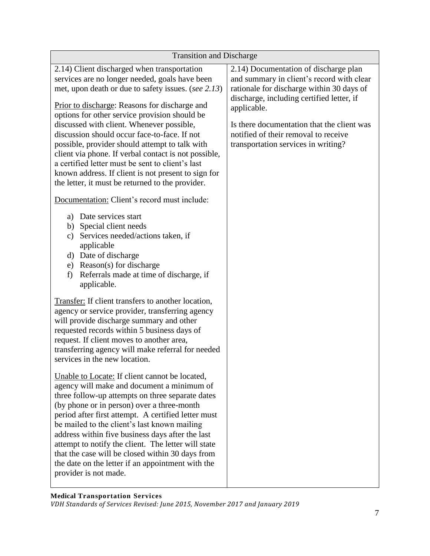| <b>Transition and Discharge</b>                                                                                                                                                                                                                                                                                                                                                                                                                                                                                                                                                                                                                                              |                                                                                                                                                                                                                                                                                                                          |  |
|------------------------------------------------------------------------------------------------------------------------------------------------------------------------------------------------------------------------------------------------------------------------------------------------------------------------------------------------------------------------------------------------------------------------------------------------------------------------------------------------------------------------------------------------------------------------------------------------------------------------------------------------------------------------------|--------------------------------------------------------------------------------------------------------------------------------------------------------------------------------------------------------------------------------------------------------------------------------------------------------------------------|--|
| 2.14) Client discharged when transportation<br>services are no longer needed, goals have been<br>met, upon death or due to safety issues. (see 2.13)<br>Prior to discharge: Reasons for discharge and<br>options for other service provision should be<br>discussed with client. Whenever possible,<br>discussion should occur face-to-face. If not<br>possible, provider should attempt to talk with<br>client via phone. If verbal contact is not possible,<br>a certified letter must be sent to client's last<br>known address. If client is not present to sign for<br>the letter, it must be returned to the provider.<br>Documentation: Client's record must include: | 2.14) Documentation of discharge plan<br>and summary in client's record with clear<br>rationale for discharge within 30 days of<br>discharge, including certified letter, if<br>applicable.<br>Is there documentation that the client was<br>notified of their removal to receive<br>transportation services in writing? |  |
| Date services start<br>a)<br>b) Special client needs<br>Services needed/actions taken, if<br>c)<br>applicable<br>Date of discharge<br>d)<br>Reason(s) for discharge<br>e)<br>Referrals made at time of discharge, if<br>f)<br>applicable.                                                                                                                                                                                                                                                                                                                                                                                                                                    |                                                                                                                                                                                                                                                                                                                          |  |
| Transfer: If client transfers to another location,<br>agency or service provider, transferring agency<br>will provide discharge summary and other<br>requested records within 5 business days of<br>request. If client moves to another area,<br>transferring agency will make referral for needed<br>services in the new location.                                                                                                                                                                                                                                                                                                                                          |                                                                                                                                                                                                                                                                                                                          |  |
| Unable to Locate: If client cannot be located,<br>agency will make and document a minimum of<br>three follow-up attempts on three separate dates<br>(by phone or in person) over a three-month<br>period after first attempt. A certified letter must<br>be mailed to the client's last known mailing<br>address within five business days after the last<br>attempt to notify the client. The letter will state<br>that the case will be closed within 30 days from<br>the date on the letter if an appointment with the<br>provider is not made.                                                                                                                           |                                                                                                                                                                                                                                                                                                                          |  |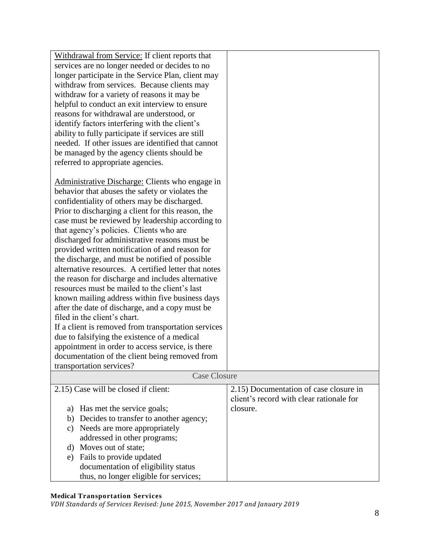| Withdrawal from Service: If client reports that<br>services are no longer needed or decides to no<br>longer participate in the Service Plan, client may<br>withdraw from services. Because clients may<br>withdraw for a variety of reasons it may be<br>helpful to conduct an exit interview to ensure<br>reasons for withdrawal are understood, or<br>identify factors interfering with the client's<br>ability to fully participate if services are still<br>needed. If other issues are identified that cannot<br>be managed by the agency clients should be<br>referred to appropriate agencies.<br>Administrative Discharge: Clients who engage in<br>behavior that abuses the safety or violates the<br>confidentiality of others may be discharged.<br>Prior to discharging a client for this reason, the<br>case must be reviewed by leadership according to<br>that agency's policies. Clients who are<br>discharged for administrative reasons must be<br>provided written notification of and reason for<br>the discharge, and must be notified of possible<br>alternative resources. A certified letter that notes<br>the reason for discharge and includes alternative<br>resources must be mailed to the client's last<br>known mailing address within five business days<br>after the date of discharge, and a copy must be<br>filed in the client's chart.<br>If a client is removed from transportation services<br>due to falsifying the existence of a medical<br>appointment in order to access service, is there<br>documentation of the client being removed from |                                                                                                |  |
|------------------------------------------------------------------------------------------------------------------------------------------------------------------------------------------------------------------------------------------------------------------------------------------------------------------------------------------------------------------------------------------------------------------------------------------------------------------------------------------------------------------------------------------------------------------------------------------------------------------------------------------------------------------------------------------------------------------------------------------------------------------------------------------------------------------------------------------------------------------------------------------------------------------------------------------------------------------------------------------------------------------------------------------------------------------------------------------------------------------------------------------------------------------------------------------------------------------------------------------------------------------------------------------------------------------------------------------------------------------------------------------------------------------------------------------------------------------------------------------------------------------------------------------------------------------------------------------|------------------------------------------------------------------------------------------------|--|
| transportation services?                                                                                                                                                                                                                                                                                                                                                                                                                                                                                                                                                                                                                                                                                                                                                                                                                                                                                                                                                                                                                                                                                                                                                                                                                                                                                                                                                                                                                                                                                                                                                                 |                                                                                                |  |
| <b>Case Closure</b>                                                                                                                                                                                                                                                                                                                                                                                                                                                                                                                                                                                                                                                                                                                                                                                                                                                                                                                                                                                                                                                                                                                                                                                                                                                                                                                                                                                                                                                                                                                                                                      |                                                                                                |  |
| 2.15) Case will be closed if client:<br>Has met the service goals;<br>a)                                                                                                                                                                                                                                                                                                                                                                                                                                                                                                                                                                                                                                                                                                                                                                                                                                                                                                                                                                                                                                                                                                                                                                                                                                                                                                                                                                                                                                                                                                                 | 2.15) Documentation of case closure in<br>client's record with clear rationale for<br>closure. |  |
| Decides to transfer to another agency;<br>b)                                                                                                                                                                                                                                                                                                                                                                                                                                                                                                                                                                                                                                                                                                                                                                                                                                                                                                                                                                                                                                                                                                                                                                                                                                                                                                                                                                                                                                                                                                                                             |                                                                                                |  |
| Needs are more appropriately<br>$\mathbf{c})$                                                                                                                                                                                                                                                                                                                                                                                                                                                                                                                                                                                                                                                                                                                                                                                                                                                                                                                                                                                                                                                                                                                                                                                                                                                                                                                                                                                                                                                                                                                                            |                                                                                                |  |
| addressed in other programs;                                                                                                                                                                                                                                                                                                                                                                                                                                                                                                                                                                                                                                                                                                                                                                                                                                                                                                                                                                                                                                                                                                                                                                                                                                                                                                                                                                                                                                                                                                                                                             |                                                                                                |  |
| d) Moves out of state;                                                                                                                                                                                                                                                                                                                                                                                                                                                                                                                                                                                                                                                                                                                                                                                                                                                                                                                                                                                                                                                                                                                                                                                                                                                                                                                                                                                                                                                                                                                                                                   |                                                                                                |  |
| Fails to provide updated<br>e)                                                                                                                                                                                                                                                                                                                                                                                                                                                                                                                                                                                                                                                                                                                                                                                                                                                                                                                                                                                                                                                                                                                                                                                                                                                                                                                                                                                                                                                                                                                                                           |                                                                                                |  |
| documentation of eligibility status                                                                                                                                                                                                                                                                                                                                                                                                                                                                                                                                                                                                                                                                                                                                                                                                                                                                                                                                                                                                                                                                                                                                                                                                                                                                                                                                                                                                                                                                                                                                                      |                                                                                                |  |
| thus, no longer eligible for services;                                                                                                                                                                                                                                                                                                                                                                                                                                                                                                                                                                                                                                                                                                                                                                                                                                                                                                                                                                                                                                                                                                                                                                                                                                                                                                                                                                                                                                                                                                                                                   |                                                                                                |  |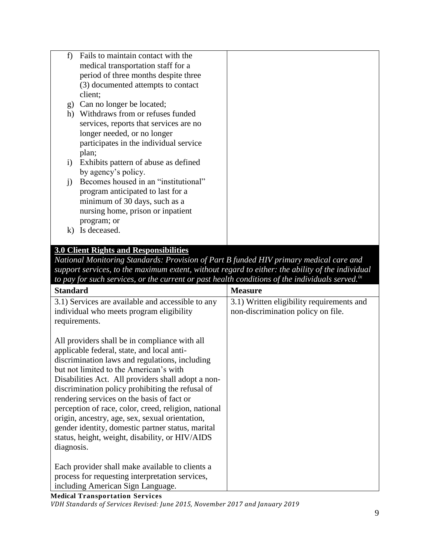| f)           | Fails to maintain contact with the     |  |
|--------------|----------------------------------------|--|
|              | medical transportation staff for a     |  |
|              | period of three months despite three   |  |
|              | (3) documented attempts to contact     |  |
|              | client;                                |  |
| g)           | Can no longer be located;              |  |
| h)           | Withdraws from or refuses funded       |  |
|              | services, reports that services are no |  |
|              | longer needed, or no longer            |  |
|              | participates in the individual service |  |
|              | plan;                                  |  |
| $\rm i)$     | Exhibits pattern of abuse as defined   |  |
|              | by agency's policy.                    |  |
| $\mathbf{j}$ | Becomes housed in an "institutional"   |  |
|              | program anticipated to last for a      |  |
|              | minimum of 30 days, such as a          |  |
|              | nursing home, prison or inpatient      |  |
|              | program; or                            |  |
| $\bf{K}$     | Is deceased.                           |  |
|              |                                        |  |

# **3.0 Client Rights and Responsibilities**

*National Monitoring Standards: Provision of Part B funded HIV primary medical care and support services, to the maximum extent, without regard to either: the ability of the individual to pay for such services, or the current or past health conditions of the individuals served.ix*

| <b>Standard</b>                                      | <b>Measure</b>                            |
|------------------------------------------------------|-------------------------------------------|
| 3.1) Services are available and accessible to any    | 3.1) Written eligibility requirements and |
| individual who meets program eligibility             | non-discrimination policy on file.        |
| requirements.                                        |                                           |
|                                                      |                                           |
| All providers shall be in compliance with all        |                                           |
| applicable federal, state, and local anti-           |                                           |
| discrimination laws and regulations, including       |                                           |
| but not limited to the American's with               |                                           |
| Disabilities Act. All providers shall adopt a non-   |                                           |
| discrimination policy prohibiting the refusal of     |                                           |
| rendering services on the basis of fact or           |                                           |
| perception of race, color, creed, religion, national |                                           |
| origin, ancestry, age, sex, sexual orientation,      |                                           |
| gender identity, domestic partner status, marital    |                                           |
| status, height, weight, disability, or HIV/AIDS      |                                           |
| diagnosis.                                           |                                           |
|                                                      |                                           |
| Each provider shall make available to clients a      |                                           |
| process for requesting interpretation services,      |                                           |
| including American Sign Language.                    |                                           |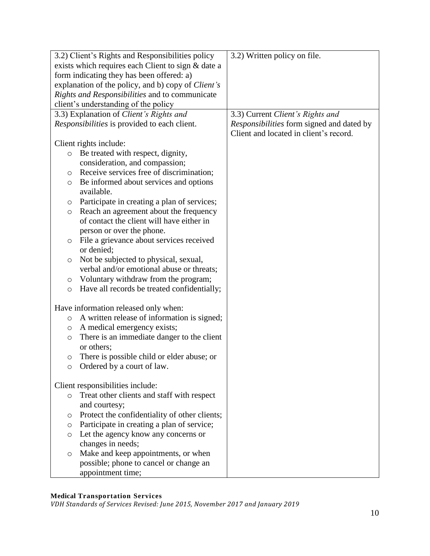| 3.2) Client's Rights and Responsibilities policy   |                                               | 3.2) Written policy on file.              |
|----------------------------------------------------|-----------------------------------------------|-------------------------------------------|
| exists which requires each Client to sign & date a |                                               |                                           |
| form indicating they has been offered: a)          |                                               |                                           |
| explanation of the policy, and b) copy of Client's |                                               |                                           |
| Rights and Responsibilities and to communicate     |                                               |                                           |
| client's understanding of the policy               |                                               |                                           |
|                                                    | 3.3) Explanation of Client's Rights and       | 3.3) Current Client's Rights and          |
|                                                    | Responsibilities is provided to each client.  | Responsibilities form signed and dated by |
|                                                    |                                               | Client and located in client's record.    |
| Client rights include:                             |                                               |                                           |
| $\circ$                                            | Be treated with respect, dignity,             |                                           |
|                                                    | consideration, and compassion;                |                                           |
| $\circ$                                            | Receive services free of discrimination;      |                                           |
| $\circ$                                            | Be informed about services and options        |                                           |
| available.                                         |                                               |                                           |
| $\circ$                                            | Participate in creating a plan of services;   |                                           |
| $\circ$                                            | Reach an agreement about the frequency        |                                           |
|                                                    | of contact the client will have either in     |                                           |
|                                                    | person or over the phone.                     |                                           |
| $\circ$                                            | File a grievance about services received      |                                           |
| or denied;                                         |                                               |                                           |
| O                                                  | Not be subjected to physical, sexual,         |                                           |
|                                                    | verbal and/or emotional abuse or threats;     |                                           |
| $\circ$                                            | Voluntary withdraw from the program;          |                                           |
| $\circ$                                            | Have all records be treated confidentially;   |                                           |
|                                                    |                                               |                                           |
| Have information released only when:               |                                               |                                           |
| $\circ$                                            | A written release of information is signed;   |                                           |
| $\circ$                                            | A medical emergency exists;                   |                                           |
| $\circ$                                            | There is an immediate danger to the client    |                                           |
| or others;                                         |                                               |                                           |
| $\circ$                                            | There is possible child or elder abuse; or    |                                           |
| $\circ$                                            | Ordered by a court of law.                    |                                           |
|                                                    |                                               |                                           |
| Client responsibilities include:                   |                                               |                                           |
| $\circ$                                            | Treat other clients and staff with respect    |                                           |
| and courtesy;                                      |                                               |                                           |
| O                                                  | Protect the confidentiality of other clients; |                                           |
| $\circ$                                            | Participate in creating a plan of service;    |                                           |
| $\circ$                                            | Let the agency know any concerns or           |                                           |
| changes in needs;                                  |                                               |                                           |
| O                                                  | Make and keep appointments, or when           |                                           |
|                                                    | possible; phone to cancel or change an        |                                           |
| appointment time;                                  |                                               |                                           |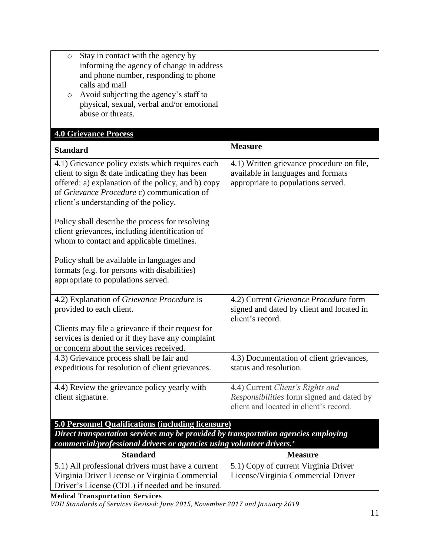| Stay in contact with the agency by<br>$\circ$<br>informing the agency of change in address<br>and phone number, responding to phone<br>calls and mail<br>Avoid subjecting the agency's staff to<br>$\circ$<br>physical, sexual, verbal and/or emotional<br>abuse or threats.                                                                                                                                                                                                                                                             |                                                                                                                         |  |
|------------------------------------------------------------------------------------------------------------------------------------------------------------------------------------------------------------------------------------------------------------------------------------------------------------------------------------------------------------------------------------------------------------------------------------------------------------------------------------------------------------------------------------------|-------------------------------------------------------------------------------------------------------------------------|--|
| <b>4.0 Grievance Process</b>                                                                                                                                                                                                                                                                                                                                                                                                                                                                                                             |                                                                                                                         |  |
| <b>Standard</b>                                                                                                                                                                                                                                                                                                                                                                                                                                                                                                                          | <b>Measure</b>                                                                                                          |  |
| 4.1) Grievance policy exists which requires each<br>client to sign $\&$ date indicating they has been<br>offered: a) explanation of the policy, and b) copy<br>of Grievance Procedure c) communication of<br>client's understanding of the policy.<br>Policy shall describe the process for resolving<br>client grievances, including identification of<br>whom to contact and applicable timelines.<br>Policy shall be available in languages and<br>formats (e.g. for persons with disabilities)<br>appropriate to populations served. | 4.1) Written grievance procedure on file,<br>available in languages and formats<br>appropriate to populations served.   |  |
| 4.2) Explanation of Grievance Procedure is<br>provided to each client.<br>Clients may file a grievance if their request for<br>services is denied or if they have any complaint<br>or concern about the services received.                                                                                                                                                                                                                                                                                                               | 4.2) Current Grievance Procedure form<br>signed and dated by client and located in<br>client's record.                  |  |
| 4.3) Grievance process shall be fair and<br>expeditious for resolution of client grievances.                                                                                                                                                                                                                                                                                                                                                                                                                                             | 4.3) Documentation of client grievances,<br>status and resolution.                                                      |  |
| 4.4) Review the grievance policy yearly with<br>client signature.                                                                                                                                                                                                                                                                                                                                                                                                                                                                        | 4.4) Current Client's Rights and<br>Responsibilities form signed and dated by<br>client and located in client's record. |  |
| <b>5.0 Personnel Qualifications (including licensure)</b><br>Direct transportation services may be provided by transportation agencies employing                                                                                                                                                                                                                                                                                                                                                                                         |                                                                                                                         |  |

*commercial/professional drivers or agencies using volunteer drivers.<sup>x</sup>*

| <b>Standard</b>                                   | <b>Measure</b>                               |
|---------------------------------------------------|----------------------------------------------|
| 5.1) All professional drivers must have a current | $\vert$ 5.1) Copy of current Virginia Driver |
| Virginia Driver License or Virginia Commercial    | License/Virginia Commercial Driver           |
| Driver's License (CDL) if needed and be insured.  |                                              |

**Medical Transportation Services**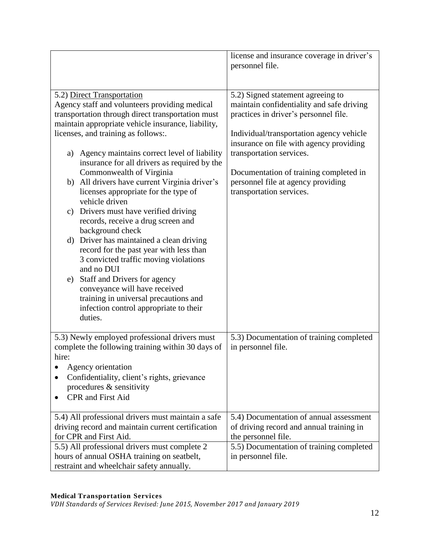|                                                                                                         | license and insurance coverage in driver's<br>personnel file.                |
|---------------------------------------------------------------------------------------------------------|------------------------------------------------------------------------------|
|                                                                                                         |                                                                              |
| 5.2) Direct Transportation                                                                              | 5.2) Signed statement agreeing to                                            |
| Agency staff and volunteers providing medical                                                           | maintain confidentiality and safe driving                                    |
| transportation through direct transportation must<br>maintain appropriate vehicle insurance, liability, | practices in driver's personnel file.                                        |
| licenses, and training as follows:.                                                                     | Individual/transportation agency vehicle                                     |
|                                                                                                         | insurance on file with agency providing                                      |
| Agency maintains correct level of liability<br>a)                                                       | transportation services.                                                     |
| insurance for all drivers as required by the                                                            |                                                                              |
| Commonwealth of Virginia<br>b) All drivers have current Virginia driver's                               | Documentation of training completed in<br>personnel file at agency providing |
| licenses appropriate for the type of                                                                    | transportation services.                                                     |
| vehicle driven                                                                                          |                                                                              |
| Drivers must have verified driving<br>c)                                                                |                                                                              |
| records, receive a drug screen and<br>background check                                                  |                                                                              |
| d) Driver has maintained a clean driving                                                                |                                                                              |
| record for the past year with less than                                                                 |                                                                              |
| 3 convicted traffic moving violations                                                                   |                                                                              |
| and no DUI                                                                                              |                                                                              |
| Staff and Drivers for agency<br>e)<br>conveyance will have received                                     |                                                                              |
| training in universal precautions and                                                                   |                                                                              |
| infection control appropriate to their                                                                  |                                                                              |
| duties.                                                                                                 |                                                                              |
|                                                                                                         |                                                                              |
| 5.3) Newly employed professional drivers must<br>complete the following training within 30 days of      | 5.3) Documentation of training completed<br>in personnel file.               |
| hire:                                                                                                   |                                                                              |
| Agency orientation                                                                                      |                                                                              |
| Confidentiality, client's rights, grievance                                                             |                                                                              |
| procedures $\&$ sensitivity                                                                             |                                                                              |
| <b>CPR</b> and First Aid                                                                                |                                                                              |
| 5.4) All professional drivers must maintain a safe                                                      | 5.4) Documentation of annual assessment                                      |
| driving record and maintain current certification                                                       | of driving record and annual training in                                     |
| for CPR and First Aid.                                                                                  | the personnel file.                                                          |
| 5.5) All professional drivers must complete 2                                                           | 5.5) Documentation of training completed                                     |
| hours of annual OSHA training on seatbelt,<br>restraint and wheelchair safety annually.                 | in personnel file.                                                           |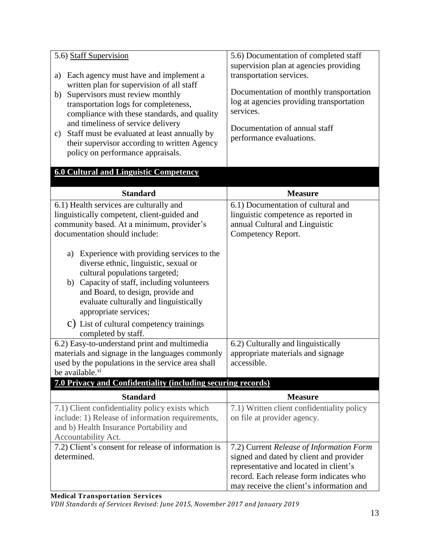| 5.6) Staff Supervision<br>Each agency must have and implement a<br>a)<br>written plan for supervision of all staff<br>Supervisors must review monthly<br>b)<br>transportation logs for completeness,<br>compliance with these standards, and quality<br>and timeliness of service delivery                                                                                                                                                                                                                                                                                     | 5.6) Documentation of completed staff<br>supervision plan at agencies providing<br>transportation services.<br>Documentation of monthly transportation<br>log at agencies providing transportation<br>services.<br>Documentation of annual staff |
|--------------------------------------------------------------------------------------------------------------------------------------------------------------------------------------------------------------------------------------------------------------------------------------------------------------------------------------------------------------------------------------------------------------------------------------------------------------------------------------------------------------------------------------------------------------------------------|--------------------------------------------------------------------------------------------------------------------------------------------------------------------------------------------------------------------------------------------------|
| Staff must be evaluated at least annually by<br>c)<br>their supervisor according to written Agency<br>policy on performance appraisals.                                                                                                                                                                                                                                                                                                                                                                                                                                        | performance evaluations.                                                                                                                                                                                                                         |
| <b>6.0 Cultural and Linguistic Competency</b>                                                                                                                                                                                                                                                                                                                                                                                                                                                                                                                                  |                                                                                                                                                                                                                                                  |
| <b>Standard</b>                                                                                                                                                                                                                                                                                                                                                                                                                                                                                                                                                                | <b>Measure</b>                                                                                                                                                                                                                                   |
| 6.1) Health services are culturally and<br>linguistically competent, client-guided and<br>community based. At a minimum, provider's<br>documentation should include:<br>Experience with providing services to the<br>a)<br>diverse ethnic, linguistic, sexual or<br>cultural populations targeted;<br>Capacity of staff, including volunteers<br>b)<br>and Board, to design, provide and<br>evaluate culturally and linguistically<br>appropriate services;<br>C) List of cultural competency trainings<br>completed by staff.<br>6.2) Easy-to-understand print and multimedia | 6.1) Documentation of cultural and<br>linguistic competence as reported in<br>annual Cultural and Linguistic<br>Competency Report.<br>6.2) Culturally and linguistically                                                                         |
| materials and signage in the languages commonly<br>used by the populations in the service area shall<br>be available. <sup>xi</sup>                                                                                                                                                                                                                                                                                                                                                                                                                                            | appropriate materials and signage<br>accessible.                                                                                                                                                                                                 |
| 7.0 Privacy and Confidentiality (including securing records)                                                                                                                                                                                                                                                                                                                                                                                                                                                                                                                   |                                                                                                                                                                                                                                                  |
| <b>Standard</b>                                                                                                                                                                                                                                                                                                                                                                                                                                                                                                                                                                | <b>Measure</b><br>7.1) Written client confidentiality policy                                                                                                                                                                                     |
| 7.1) Client confidentiality policy exists which<br>include: 1) Release of information requirements,<br>and b) Health Insurance Portability and<br>Accountability Act.                                                                                                                                                                                                                                                                                                                                                                                                          | on file at provider agency.                                                                                                                                                                                                                      |
| 7.2) Client's consent for release of information is<br>determined.                                                                                                                                                                                                                                                                                                                                                                                                                                                                                                             | 7.2) Current Release of Information Form<br>signed and dated by client and provider<br>representative and located in client's<br>record. Each release form indicates who<br>may receive the client's information and                             |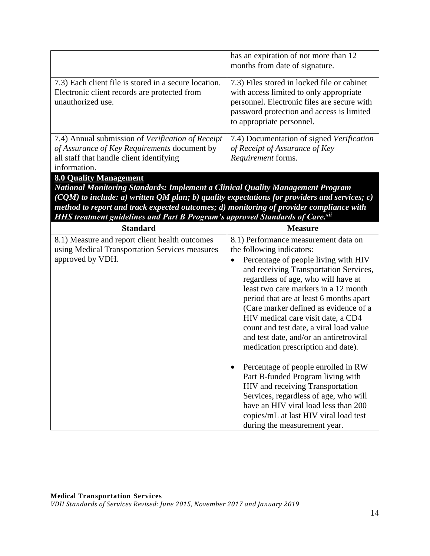|                                                                                                                                                                                                                                                                                                                                                                                                     | has an expiration of not more than 12                                                                                                                                                                           |
|-----------------------------------------------------------------------------------------------------------------------------------------------------------------------------------------------------------------------------------------------------------------------------------------------------------------------------------------------------------------------------------------------------|-----------------------------------------------------------------------------------------------------------------------------------------------------------------------------------------------------------------|
|                                                                                                                                                                                                                                                                                                                                                                                                     | months from date of signature.                                                                                                                                                                                  |
| 7.3) Each client file is stored in a secure location.<br>Electronic client records are protected from<br>unauthorized use.                                                                                                                                                                                                                                                                          | 7.3) Files stored in locked file or cabinet<br>with access limited to only appropriate<br>personnel. Electronic files are secure with<br>password protection and access is limited<br>to appropriate personnel. |
| 7.4) Annual submission of Verification of Receipt                                                                                                                                                                                                                                                                                                                                                   | 7.4) Documentation of signed Verification                                                                                                                                                                       |
| of Assurance of Key Requirements document by                                                                                                                                                                                                                                                                                                                                                        | of Receipt of Assurance of Key                                                                                                                                                                                  |
| all staff that handle client identifying                                                                                                                                                                                                                                                                                                                                                            | Requirement forms.                                                                                                                                                                                              |
|                                                                                                                                                                                                                                                                                                                                                                                                     |                                                                                                                                                                                                                 |
| information.                                                                                                                                                                                                                                                                                                                                                                                        |                                                                                                                                                                                                                 |
| <b>8.0 Quality Management</b><br><b>National Monitoring Standards: Implement a Clinical Quality Management Program</b><br>$(CQM)$ to include: a) written QM plan; b) quality expectations for providers and services; c)<br>method to report and track expected outcomes; d) monitoring of provider compliance with<br>HHS treatment guidelines and Part B Program's approved Standards of Care.xii |                                                                                                                                                                                                                 |
| <b>Standard</b>                                                                                                                                                                                                                                                                                                                                                                                     | <b>Measure</b>                                                                                                                                                                                                  |
| 8.1) Measure and report client health outcomes                                                                                                                                                                                                                                                                                                                                                      | 8.1) Performance measurement data on                                                                                                                                                                            |
| using Medical Transportation Services measures<br>approved by VDH.                                                                                                                                                                                                                                                                                                                                  | the following indicators:<br>Percentage of people living with HIV                                                                                                                                               |

count and test date, a viral load value and test date, and/or an antiretroviral medication prescription and date).

• Percentage of people enrolled in RW Part B-funded Program living with HIV and receiving Transportation Services, regardless of age, who will have an HIV viral load less than 200 copies/mL at last HIV viral load test

during the measurement year.